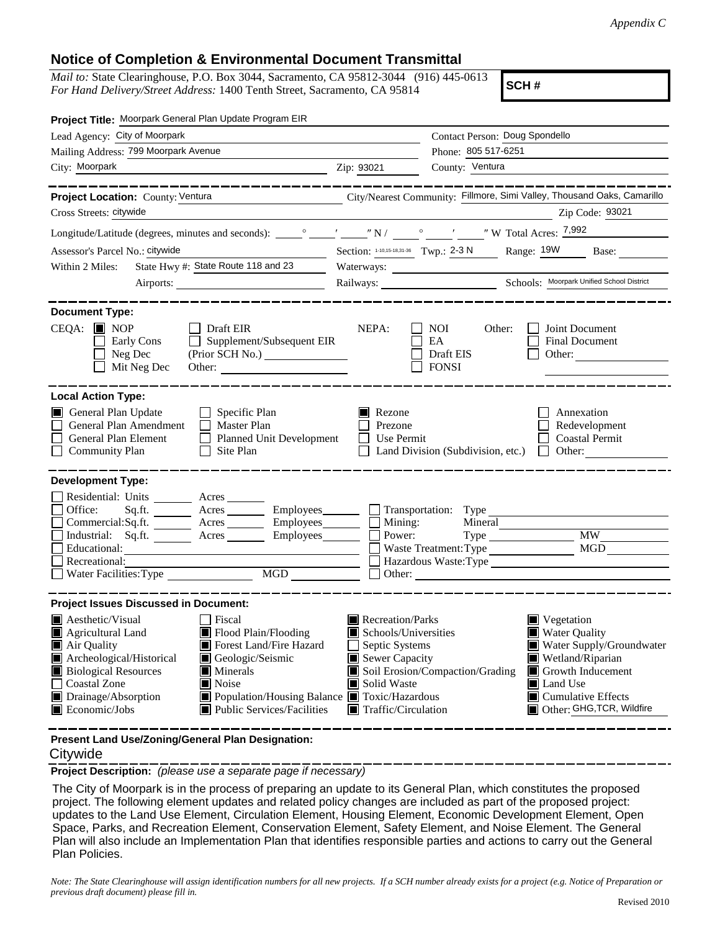## **Notice of Completion & Environmental Document Transmittal**

*Mail to:* State Clearinghouse, P.O. Box 3044, Sacramento, CA 95812-3044 (916) 445-0613 *For Hand Delivery/Street Address:* 1400 Tenth Street, Sacramento, CA 95814

**SCH #**

| Project Title: Moorpark General Plan Update Program EIR                                                                                                                                                                                                                                                                                                                                                                            |                                                                                                                                                                                                                                                                                                                                                                                                            |
|------------------------------------------------------------------------------------------------------------------------------------------------------------------------------------------------------------------------------------------------------------------------------------------------------------------------------------------------------------------------------------------------------------------------------------|------------------------------------------------------------------------------------------------------------------------------------------------------------------------------------------------------------------------------------------------------------------------------------------------------------------------------------------------------------------------------------------------------------|
| Lead Agency: City of Moorpark                                                                                                                                                                                                                                                                                                                                                                                                      | Contact Person: Doug Spondello                                                                                                                                                                                                                                                                                                                                                                             |
| Mailing Address: 799 Moorpark Avenue                                                                                                                                                                                                                                                                                                                                                                                               | Phone: 805 517-6251                                                                                                                                                                                                                                                                                                                                                                                        |
| City: Moorpark<br><u> 1989 - Johann Barn, amerikansk politiker (</u>                                                                                                                                                                                                                                                                                                                                                               | County: Ventura<br>Zip: 93021                                                                                                                                                                                                                                                                                                                                                                              |
| ____________                                                                                                                                                                                                                                                                                                                                                                                                                       |                                                                                                                                                                                                                                                                                                                                                                                                            |
| Project Location: County: Ventura                                                                                                                                                                                                                                                                                                                                                                                                  | City/Nearest Community: Fillmore, Simi Valley, Thousand Oaks, Camarillo                                                                                                                                                                                                                                                                                                                                    |
| Cross Streets: citywide                                                                                                                                                                                                                                                                                                                                                                                                            | Zip Code: 93021                                                                                                                                                                                                                                                                                                                                                                                            |
|                                                                                                                                                                                                                                                                                                                                                                                                                                    |                                                                                                                                                                                                                                                                                                                                                                                                            |
| Assessor's Parcel No.: citywide                                                                                                                                                                                                                                                                                                                                                                                                    | Section: 1-10,15-18,31-36 Twp.: 2-3 N Range: 19W Base:                                                                                                                                                                                                                                                                                                                                                     |
| State Hwy #: State Route 118 and 23<br>Within 2 Miles:                                                                                                                                                                                                                                                                                                                                                                             |                                                                                                                                                                                                                                                                                                                                                                                                            |
|                                                                                                                                                                                                                                                                                                                                                                                                                                    | Railways: <u>Noorpark Unified School District</u>                                                                                                                                                                                                                                                                                                                                                          |
| <b>Document Type:</b>                                                                                                                                                                                                                                                                                                                                                                                                              |                                                                                                                                                                                                                                                                                                                                                                                                            |
| $CEQA:$ MOP<br>Draft EIR<br>Supplement/Subsequent EIR<br>Early Cons<br>$\perp$<br>Neg Dec<br>$\blacksquare$<br>Mit Neg Dec<br>Other:                                                                                                                                                                                                                                                                                               | NEPA:<br><b>NOI</b><br>Other:<br>Joint Document<br>EA<br>Final Document<br>Draft EIS<br>Other:<br><b>FONSI</b>                                                                                                                                                                                                                                                                                             |
| <b>Local Action Type:</b>                                                                                                                                                                                                                                                                                                                                                                                                          |                                                                                                                                                                                                                                                                                                                                                                                                            |
| General Plan Update<br>$\Box$ Specific Plan<br>General Plan Amendment<br>$\Box$ Master Plan<br>General Plan Element<br>$\Box$ Planned Unit Development<br><b>Community Plan</b><br>$\Box$ Site Plan                                                                                                                                                                                                                                | $\blacksquare$ Rezone<br>Annexation<br>Prezone<br>Redevelopment<br><b>Coastal Permit</b><br>$\Box$ Use Permit<br>Land Division (Subdivision, etc.) $\Box$ Other:                                                                                                                                                                                                                                           |
| <b>Development Type:</b><br>Residential: Units _________ Acres _______<br>Office:<br>Sq.ft. ________ Acres __________ Employees_________ ___ Transportation: Type<br>Commercial:Sq.ft. ________ Acres ________ Employees _______ $\Box$<br>Industrial: Sq.ft. _______ Acres _______ Employees ______<br>Educational:<br>the control of the control of the control of the control of the control of the control of<br>Recreational: | Mining:<br>Mineral<br><b>MW</b><br>Power:<br>MGD<br>Waste Treatment: Type<br>Hazardous Waste: Type<br>$\Box$ Other: $\Box$                                                                                                                                                                                                                                                                                 |
| <b>Project Issues Discussed in Document:</b>                                                                                                                                                                                                                                                                                                                                                                                       |                                                                                                                                                                                                                                                                                                                                                                                                            |
| $\blacksquare$ Aesthetic/Visual<br><b>Fiscal</b><br>Agricultural Land<br>Flood Plain/Flooding<br>Forest Land/Fire Hazard<br>Air Quality<br>Archeological/Historical<br>Geologic/Seismic<br><b>Biological Resources</b><br>Minerals<br><b>Coastal Zone</b><br>Noise<br>Drainage/Absorption<br>Population/Housing Balance Toxic/Hazardous<br>Public Services/Facilities<br>$\blacksquare$ Economic/Jobs                              | $\blacksquare$ Recreation/Parks<br>$\blacksquare$ Vegetation<br>Schools/Universities<br><b>Water Quality</b><br>Water Supply/Groundwater<br>Septic Systems<br>Wetland/Riparian<br>Sewer Capacity<br>Soil Erosion/Compaction/Grading<br>$\blacksquare$ Growth Inducement<br>Solid Waste<br>Land Use<br>$\blacksquare$ Cumulative Effects<br>Other: GHG, TCR, Wildfire<br>$\blacksquare$ Traffic/Circulation |

**Present Land Use/Zoning/General Plan Designation:**

## **Citywide**

**Project Description:** *(please use a separate page if necessary)*

 The City of Moorpark is in the process of preparing an update to its General Plan, which constitutes the proposed project. The following element updates and related policy changes are included as part of the proposed project: updates to the Land Use Element, Circulation Element, Housing Element, Economic Development Element, Open Space, Parks, and Recreation Element, Conservation Element, Safety Element, and Noise Element. The General Plan will also include an Implementation Plan that identifies responsible parties and actions to carry out the General Plan Policies.

*Note: The State Clearinghouse will assign identification numbers for all new projects. If a SCH number already exists for a project (e.g. Notice of Preparation or previous draft document) please fill in.*